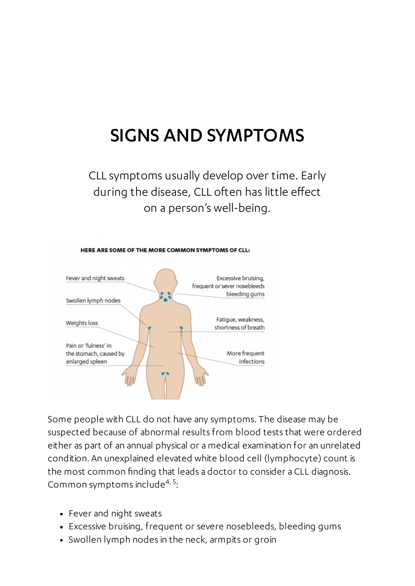## SIGNS AND SYMPTOMS

CLL symptoms usually develop over time. Early during the disease, CLL often has little effect on a person's well-being.



Some people with CLL do not have any symptoms. The disease may be suspected because of abnormal results from blood tests that were ordered either as part of an annual physical or a medical examination for an unrelated condition. An unexplained elevated white blood cell (lymphocyte) count is the most common finding that leads a doctor to consider a CLL diagnosis. Common symptoms include<sup>4, 5</sup>:

- Fever and night sweats
- Excessive bruising, frequent or severe nosebleeds, bleeding gums
- Swollen lymph nodes in the neck, armpits or groin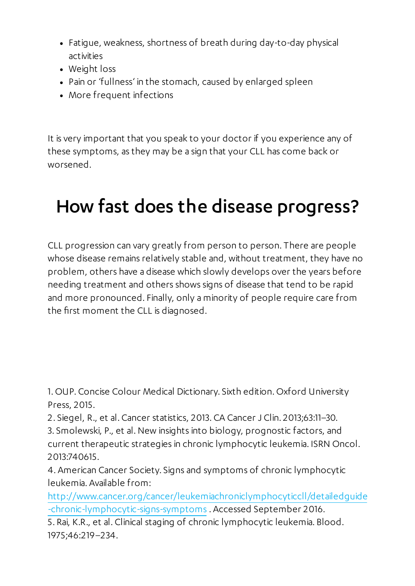- Fatigue, weakness, shortness of breath during day-to-day physical activities
- Weight loss
- Pain or 'fullness' in the stomach, caused by enlarged spleen
- More frequent infections

It is very important that you speak to your doctor if you experience any of these symptoms, as they may be a sign that your CLL has come back or worsened.

## How fast does the disease progress?

CLL progression can vary greatly from person to person. There are people whose disease remains relatively stable and, without treatment, they have no problem, others have a disease which slowly develops over the years before needing treatment and others shows signs of disease that tend to be rapid and more pronounced. Finally, only a minority of people require care from the first moment the CLL is diagnosed.

1. OUP. Concise Colour Medical Dictionary. Sixth edition. Oxford University Press, 2015.

- 2. Siegel, R., et al. Cancer statistics, 2013. CA Cancer J Clin. 2013;63:11–30.
- 3. Smolewski, P., et al.New insights into biology, prognostic factors, and current therapeutic strategies in chronic lymphocytic leukemia. ISRN Oncol. 2013:740615.

4. American Cancer Society. Signs and symptoms of chronic lymphocytic leukemia. Available from:

[http://www.cancer.org/cancer/leukemiachroniclymphocyticcll/detailedguide](http://www.cancer.org/cancer/leukemiachroniclymphocyticcll/detailedguide/leukemia--chronic-lymphocytic-signs-symptoms) -chronic-lymphocytic-signs-symptoms . Accessed September 2016.

5. Rai, K.R., et al. Clinical staging of chronic lymphocytic leukemia. Blood. 1975;46:219–234.